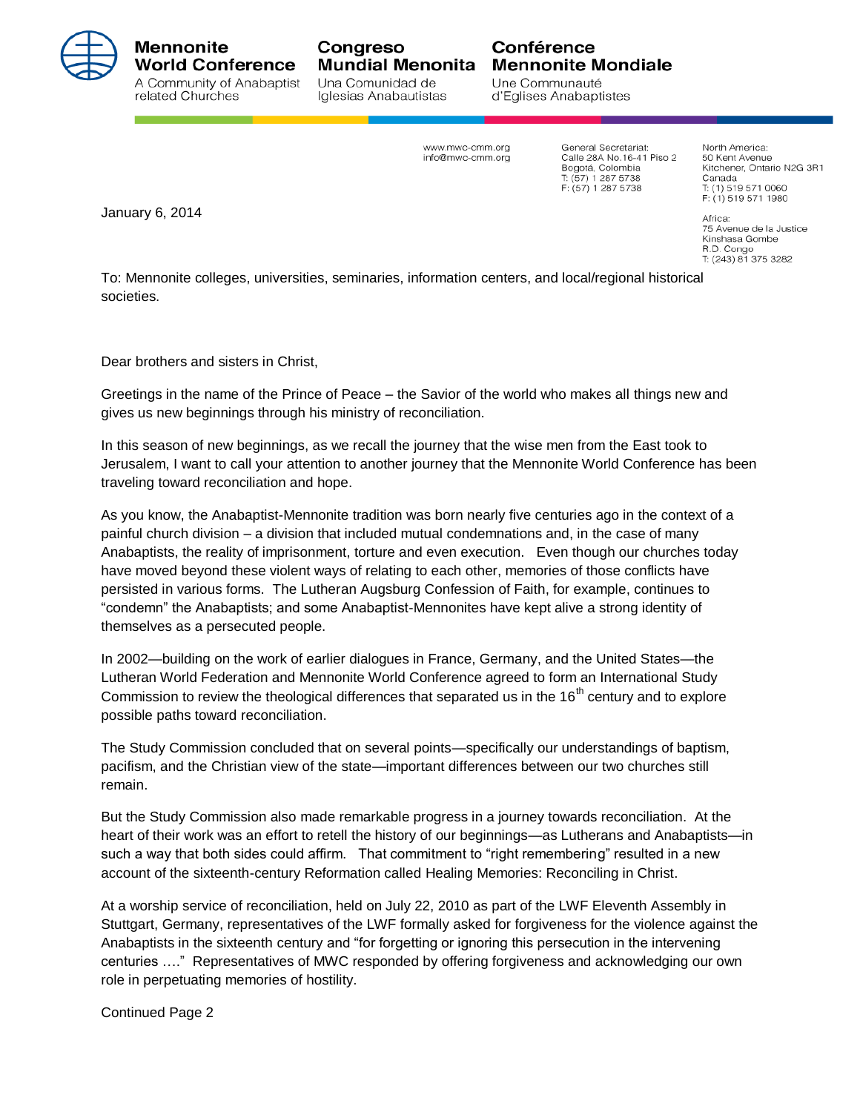

## Mennonite **World Conference** A Community of Anabaptist

related Churches

**Mundial Menonita** Una Comunidad de Iglesias Anabautistas

Congreso

## Conférence **Mennonite Mondiale**

Une Communauté d'Eglises Anabaptistes

www.mwc-cmm.org info@mwc-cmm.ora General Secretariat: Calle 28A No. 16-41 Piso 2 Bogotá, Colombia T: (57) 1 287 5738  $F: (57)$  1 287 5738

North America: 50 Kent Avenue Kitchener, Ontario N2G 3R1 Canada Canada<br>T: (1) 519 571 0060 F: (1) 519 571 1980

January 6, 2014

Africa: 75 Avenue de la Justice Kinshasa Gombe R.D. Congo T: (243) 81 375 3282

To: Mennonite colleges, universities, seminaries, information centers, and local/regional historical societies.

Dear brothers and sisters in Christ,

Greetings in the name of the Prince of Peace – the Savior of the world who makes all things new and gives us new beginnings through his ministry of reconciliation.

In this season of new beginnings, as we recall the journey that the wise men from the East took to Jerusalem, I want to call your attention to another journey that the Mennonite World Conference has been traveling toward reconciliation and hope.

As you know, the Anabaptist-Mennonite tradition was born nearly five centuries ago in the context of a painful church division – a division that included mutual condemnations and, in the case of many Anabaptists, the reality of imprisonment, torture and even execution. Even though our churches today have moved beyond these violent ways of relating to each other, memories of those conflicts have persisted in various forms. The Lutheran Augsburg Confession of Faith, for example, continues to "condemn" the Anabaptists; and some Anabaptist-Mennonites have kept alive a strong identity of themselves as a persecuted people.

In 2002—building on the work of earlier dialogues in France, Germany, and the United States—the Lutheran World Federation and Mennonite World Conference agreed to form an International Study Commission to review the theological differences that separated us in the  $16<sup>th</sup>$  century and to explore possible paths toward reconciliation.

The Study Commission concluded that on several points—specifically our understandings of baptism, pacifism, and the Christian view of the state—important differences between our two churches still remain.

But the Study Commission also made remarkable progress in a journey towards reconciliation. At the heart of their work was an effort to retell the history of our beginnings—as Lutherans and Anabaptists—in such a way that both sides could affirm. That commitment to "right remembering" resulted in a new account of the sixteenth-century Reformation called Healing Memories: Reconciling in Christ.

At a worship service of reconciliation, held on July 22, 2010 as part of the LWF Eleventh Assembly in Stuttgart, Germany, representatives of the LWF formally asked for forgiveness for the violence against the Anabaptists in the sixteenth century and "for forgetting or ignoring this persecution in the intervening centuries …." Representatives of MWC responded by offering forgiveness and acknowledging our own role in perpetuating memories of hostility.

Continued Page 2